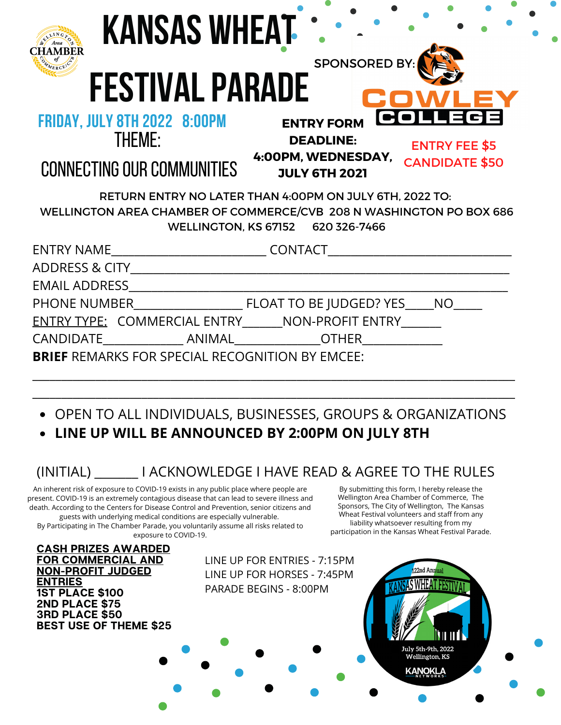| <b>KANSAS WHEAT</b>                                                                                                                                                 |                                                                                                                                                             |
|---------------------------------------------------------------------------------------------------------------------------------------------------------------------|-------------------------------------------------------------------------------------------------------------------------------------------------------------|
| <b>FESTIVAL PARADE</b><br><b>FRIDAY, JULY 8TH 2022 8:00PM</b><br><b>THEME:</b><br><b>CONNECTING OUR COMMUNITIES</b>                                                 | <b>SPONSORED BY</b><br><b>ENTRY FORM</b><br><b>DEADLINE:</b><br><b>ENTRY FEE \$5</b><br>4:00PM, WEDNESDAY,<br><b>CANDIDATE \$50</b><br><b>JULY 6TH 2021</b> |
| RETURN ENTRY NO LATER THAN 4:00PM ON JULY 6TH, 2022 TO:<br>WELLINGTON AREA CHAMBER OF COMMERCE/CVB 208 N WASHINGTON PO BOX 686<br>WELLINGTON, KS 67152 620 326-7466 |                                                                                                                                                             |
|                                                                                                                                                                     | ENTRY NAME___________________________________CONTACT____________________________                                                                            |
|                                                                                                                                                                     |                                                                                                                                                             |
| <b>EMAIL ADDRESS</b>                                                                                                                                                |                                                                                                                                                             |
|                                                                                                                                                                     |                                                                                                                                                             |
|                                                                                                                                                                     | ENTRY TYPE: COMMERCIAL ENTRY ______ NON-PROFIT ENTRY ______                                                                                                 |
|                                                                                                                                                                     |                                                                                                                                                             |
| <b>BRIEF REMARKS FOR SPECIAL RECOGNITION BY EMCEE:</b>                                                                                                              |                                                                                                                                                             |

- OPEN TO ALL INDIVIDUALS, BUSINESSES, GROUPS & ORGANIZATIONS
- **LINE UP WILL BE ANNOUNCED BY 2:00PM ON JULY 8TH**

# (INITIAL) \_\_\_\_\_\_\_ I ACKNOWLEDGE I HAVE READ & AGREE TO THE RULES

An inherent risk of exposure to COVID-19 exists in any public place where people are present. COVID-19 is an extremely contagious disease that can lead to severe illness and death. According to the Centers for Disease Control and Prevention, senior citizens and guests with underlying medical conditions are especially vulnerable.

By Participating in The Chamber Parade, you voluntarily assume all risks related to exposure to COVID-19.

By submitting this form, I hereby release the Wellington Area Chamber of Commerce, The Sponsors, The City of Wellington, The Kansas Wheat Festival volunteers and staff from any liability whatsoever resulting from my participation in the Kansas Wheat Festival Parade.